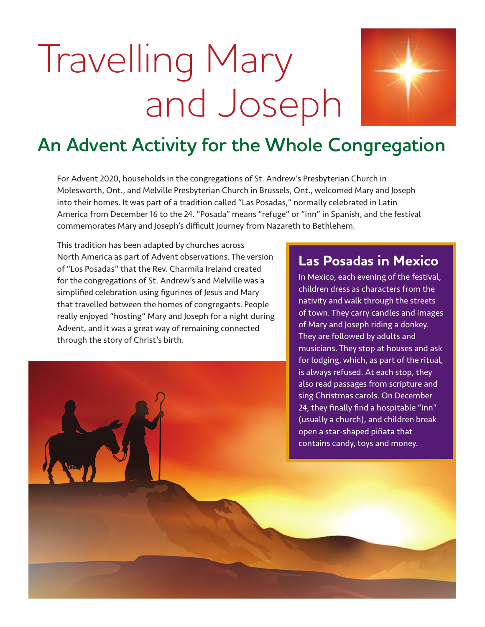# Travelling Mary and Joseph



## **An Advent Activity for the Whole Congregation**

For Advent 2020, households in the congregations of St. Andrew's Presbyterian Church in Molesworth, Ont., and Melville Presbyterian Church in Brussels, Ont., welcomed Mary and Joseph into their homes. It was part of a tradition called "Las Posadas," normally celebrated in Latin America from December 16 to the 24. "Posada" means "refuge" or "inn" in Spanish, and the festival commemorates Mary and Joseph's difficult journey from Nazareth to Bethlehem.

This tradition has been adapted by churches across North America as part of Advent observations. The version of "Los Posadas" that the Rev. Charmila Ireland created for the congregations of St. Andrew's and Melville was a simplified celebration using figurines of Jesus and Mary that travelled between the homes of congregants. People really enjoyed "hosting" Mary and Joseph for a night during Advent, and it was a great way of remaining connected through the story of Christ's birth.

#### **Las Posadas in Mexico**

In Mexico, each evening of the festival, children dress as characters from the nativity and walk through the streets of town. They carry candles and images of Mary and Joseph riding a donkey. They are followed by adults and musicians. They stop at houses and ask for lodging, which, as part of the ritual, is always refused. At each stop, they also read passages from scripture and sing Christmas carols. On December 24, they finally find a hospitable "inn" (usually a church), and children break open a star-shaped piñata that contains candy, toys and money.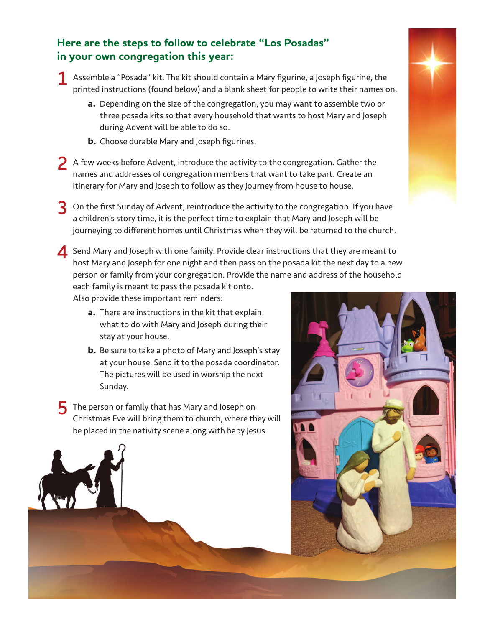#### **Here are the steps to follow to celebrate "Los Posadas" in your own congregation this year:**

**1** Assemble a "Posada" kit. The kit should contain a Mary figurine, a Joseph figurine, the printed instructions (found below) and a blank sheet for people to write their names on.

- **a.** Depending on the size of the congregation, you may want to assemble two or three posada kits so that every household that wants to host Mary and Joseph during Advent will be able to do so.
- **b.** Choose durable Mary and Joseph figurines.
- **2** A few weeks before Advent, introduce the activity to the congregation. Gather the names and addresses of congregation members that want to take part. Create an itinerary for Mary and Joseph to follow as they journey from house to house.
- **3** On the first Sunday of Advent, reintroduce the activity to the congregation. If you have a children's story time, it is the perfect time to explain that Mary and Joseph will be journeying to different homes until Christmas when they will be returned to the church.
- **4** Send Mary and Joseph with one family. Provide clear instructions that they are meant to host Mary and Joseph for one night and then pass on the posada kit the next day to a new person or family from your congregation. Provide the name and address of the household each family is meant to pass the posada kit onto.

Also provide these important reminders:

- **a.** There are instructions in the kit that explain what to do with Mary and Joseph during their stay at your house.
- **b.** Be sure to take a photo of Mary and Joseph's stay at your house. Send it to the posada coordinator. The pictures will be used in worship the next Sunday.
- **5** The person or family that has Mary and Joseph on Christmas Eve will bring them to church, where they will be placed in the nativity scene along with baby Jesus.



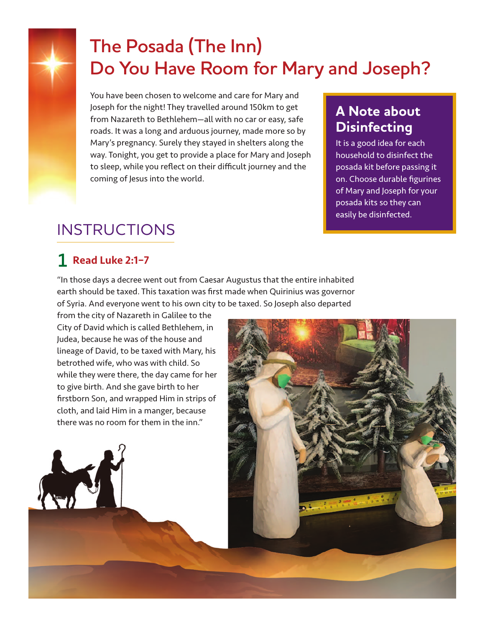

## **The Posada (The Inn) Do You Have Room for Mary and Joseph?**

You have been chosen to welcome and care for Mary and Joseph for the night! They travelled around 150km to get from Nazareth to Bethlehem—all with no car or easy, safe roads. It was a long and arduous journey, made more so by Mary's pregnancy. Surely they stayed in shelters along the way. Tonight, you get to provide a place for Mary and Joseph to sleep, while you reflect on their difficult journey and the coming of Jesus into the world.

## **A Note about Disinfecting**

It is a good idea for each household to disinfect the posada kit before passing it on. Choose durable figurines of Mary and Joseph for your posada kits so they can easily be disinfected.

## INSTRUCTIONS

## **1** Read Luke 2:1–7

"In those days a decree went out from Caesar Augustus that the entire inhabited earth should be taxed. This taxation was first made when Quirinius was governor of Syria. And everyone went to his own city to be taxed. So Joseph also departed

from the city of Nazareth in Galilee to the City of David which is called Bethlehem, in Judea, because he was of the house and lineage of David, to be taxed with Mary, his betrothed wife, who was with child. So while they were there, the day came for her to give birth. And she gave birth to her firstborn Son, and wrapped Him in strips of cloth, and laid Him in a manger, because there was no room for them in the inn."